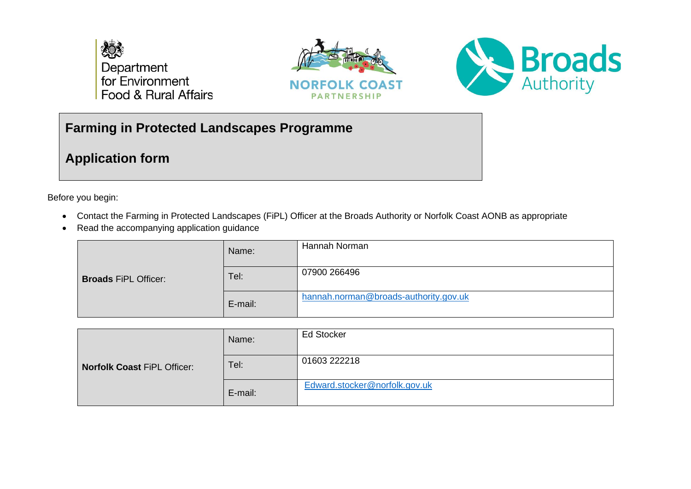

ra logo here





# **Farming in Protected Landscapes Programme**

**Application form**

Before you begin:

- Contact the Farming in Protected Landscapes (FiPL) Officer at the Broads Authority or Norfolk Coast AONB as appropriate
- Read the accompanying application guidance

| <b>Broads FiPL Officer:</b> | Name:   | Hannah Norman                         |
|-----------------------------|---------|---------------------------------------|
|                             | Tel:    | 07900 266496                          |
|                             | E-mail: | hannah.norman@broads-authority.gov.uk |

| <b>Norfolk Coast FiPL Officer:</b> | Name:   | <b>Ed Stocker</b>             |
|------------------------------------|---------|-------------------------------|
|                                    | Tel:    | 01603 222218                  |
|                                    | E-mail: | Edward.stocker@norfolk.gov.uk |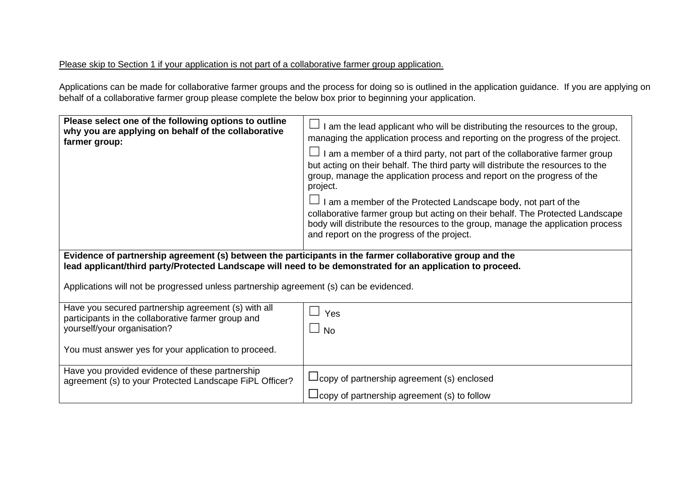## Please skip to Section 1 if your application is not part of a collaborative farmer group application.

Applications can be made for collaborative farmer groups and the process for doing so is outlined in the application guidance. If you are applying on behalf of a collaborative farmer group please complete the below box prior to beginning your application.

| Please select one of the following options to outline<br>why you are applying on behalf of the collaborative<br>farmer group:                                                                                                                                                                                    | I am the lead applicant who will be distributing the resources to the group,<br>managing the application process and reporting on the progress of the project.<br>I am a member of a third party, not part of the collaborative farmer group<br>but acting on their behalf. The third party will distribute the resources to the<br>group, manage the application process and report on the progress of the<br>project.<br>I am a member of the Protected Landscape body, not part of the<br>collaborative farmer group but acting on their behalf. The Protected Landscape<br>body will distribute the resources to the group, manage the application process<br>and report on the progress of the project. |
|------------------------------------------------------------------------------------------------------------------------------------------------------------------------------------------------------------------------------------------------------------------------------------------------------------------|--------------------------------------------------------------------------------------------------------------------------------------------------------------------------------------------------------------------------------------------------------------------------------------------------------------------------------------------------------------------------------------------------------------------------------------------------------------------------------------------------------------------------------------------------------------------------------------------------------------------------------------------------------------------------------------------------------------|
| Evidence of partnership agreement (s) between the participants in the farmer collaborative group and the<br>lead applicant/third party/Protected Landscape will need to be demonstrated for an application to proceed.<br>Applications will not be progressed unless partnership agreement (s) can be evidenced. |                                                                                                                                                                                                                                                                                                                                                                                                                                                                                                                                                                                                                                                                                                              |
| Have you secured partnership agreement (s) with all<br>participants in the collaborative farmer group and<br>yourself/your organisation?<br>You must answer yes for your application to proceed.                                                                                                                 | Yes<br><b>No</b>                                                                                                                                                                                                                                                                                                                                                                                                                                                                                                                                                                                                                                                                                             |
| Have you provided evidence of these partnership<br>agreement (s) to your Protected Landscape FiPL Officer?                                                                                                                                                                                                       | $\Box$ copy of partnership agreement (s) enclosed<br>$\Box$ copy of partnership agreement (s) to follow                                                                                                                                                                                                                                                                                                                                                                                                                                                                                                                                                                                                      |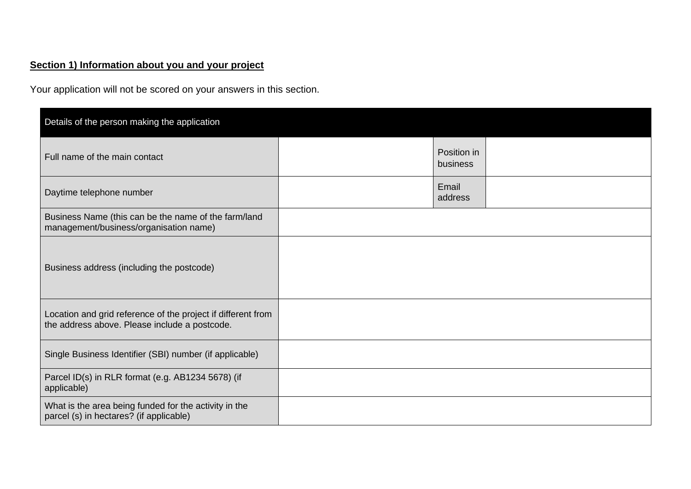# **Section 1) Information about you and your project**

Your application will not be scored on your answers in this section.

| Details of the person making the application                                                                  |                         |  |
|---------------------------------------------------------------------------------------------------------------|-------------------------|--|
| Full name of the main contact                                                                                 | Position in<br>business |  |
| Daytime telephone number                                                                                      | Email<br>address        |  |
| Business Name (this can be the name of the farm/land<br>management/business/organisation name)                |                         |  |
| Business address (including the postcode)                                                                     |                         |  |
| Location and grid reference of the project if different from<br>the address above. Please include a postcode. |                         |  |
| Single Business Identifier (SBI) number (if applicable)                                                       |                         |  |
| Parcel ID(s) in RLR format (e.g. AB1234 5678) (if<br>applicable)                                              |                         |  |
| What is the area being funded for the activity in the<br>parcel (s) in hectares? (if applicable)              |                         |  |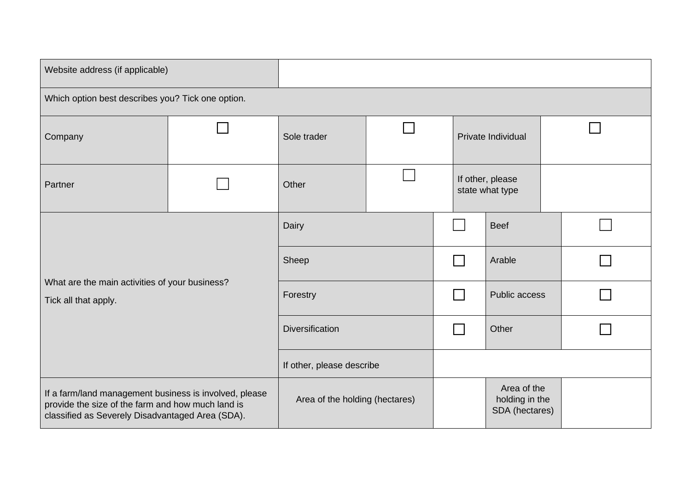| Website address (if applicable)                                                                                                                                 |  |                                |  |                    |                                     |                                                 |  |  |
|-----------------------------------------------------------------------------------------------------------------------------------------------------------------|--|--------------------------------|--|--------------------|-------------------------------------|-------------------------------------------------|--|--|
| Which option best describes you? Tick one option.                                                                                                               |  |                                |  |                    |                                     |                                                 |  |  |
| Company                                                                                                                                                         |  | Sole trader                    |  | Private Individual |                                     |                                                 |  |  |
| Partner                                                                                                                                                         |  | Other                          |  |                    | If other, please<br>state what type |                                                 |  |  |
| What are the main activities of your business?<br>Tick all that apply.                                                                                          |  | Dairy                          |  |                    |                                     | <b>Beef</b>                                     |  |  |
|                                                                                                                                                                 |  | Sheep                          |  |                    |                                     | Arable                                          |  |  |
|                                                                                                                                                                 |  | Forestry                       |  |                    |                                     | Public access                                   |  |  |
|                                                                                                                                                                 |  | Diversification                |  |                    |                                     | Other                                           |  |  |
|                                                                                                                                                                 |  | If other, please describe      |  |                    |                                     |                                                 |  |  |
| If a farm/land management business is involved, please<br>provide the size of the farm and how much land is<br>classified as Severely Disadvantaged Area (SDA). |  | Area of the holding (hectares) |  |                    |                                     | Area of the<br>holding in the<br>SDA (hectares) |  |  |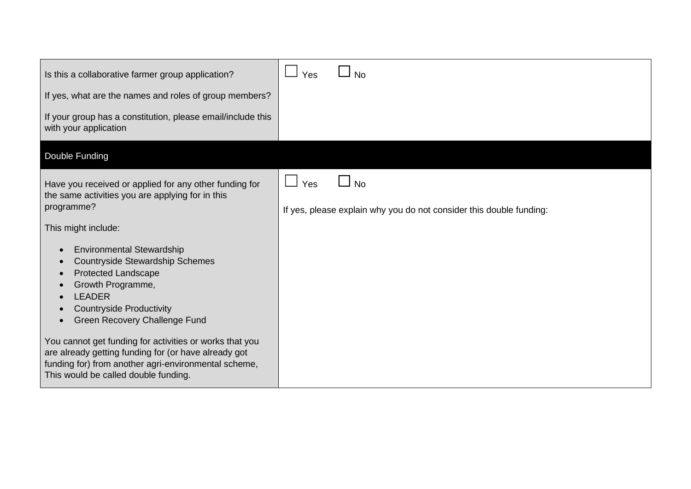| Is this a collaborative farmer group application?                                                                                                                                                               | Yes | <b>No</b>                                                           |
|-----------------------------------------------------------------------------------------------------------------------------------------------------------------------------------------------------------------|-----|---------------------------------------------------------------------|
| If yes, what are the names and roles of group members?                                                                                                                                                          |     |                                                                     |
| If your group has a constitution, please email/include this<br>with your application                                                                                                                            |     |                                                                     |
| Double Funding                                                                                                                                                                                                  |     |                                                                     |
| Have you received or applied for any other funding for<br>the same activities you are applying for in this                                                                                                      | Yes | <b>No</b>                                                           |
| programme?                                                                                                                                                                                                      |     | If yes, please explain why you do not consider this double funding: |
| This might include:                                                                                                                                                                                             |     |                                                                     |
| <b>Environmental Stewardship</b>                                                                                                                                                                                |     |                                                                     |
| <b>Countryside Stewardship Schemes</b><br><b>Protected Landscape</b>                                                                                                                                            |     |                                                                     |
| Growth Programme,<br><b>LEADER</b>                                                                                                                                                                              |     |                                                                     |
| <b>Countryside Productivity</b>                                                                                                                                                                                 |     |                                                                     |
| Green Recovery Challenge Fund                                                                                                                                                                                   |     |                                                                     |
| You cannot get funding for activities or works that you<br>are already getting funding for (or have already got<br>funding for) from another agri-environmental scheme,<br>This would be called double funding. |     |                                                                     |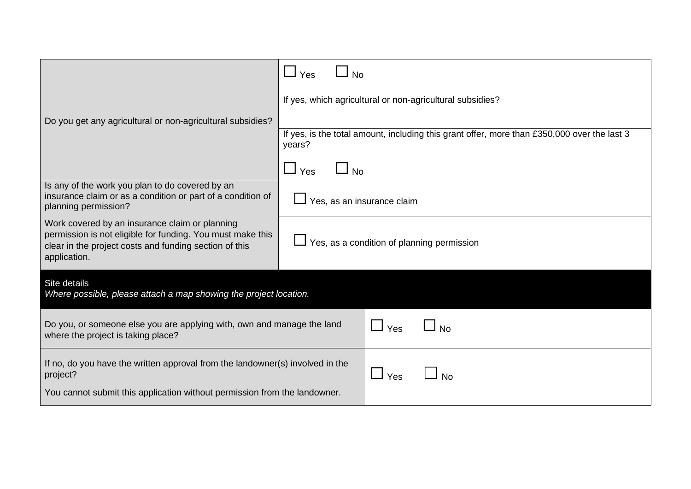|                                                                                                                                                                                        | $\Box$ No<br>Yes                                                                                      |  |  |  |
|----------------------------------------------------------------------------------------------------------------------------------------------------------------------------------------|-------------------------------------------------------------------------------------------------------|--|--|--|
|                                                                                                                                                                                        | If yes, which agricultural or non-agricultural subsidies?                                             |  |  |  |
| Do you get any agricultural or non-agricultural subsidies?                                                                                                                             |                                                                                                       |  |  |  |
|                                                                                                                                                                                        | If yes, is the total amount, including this grant offer, more than £350,000 over the last 3<br>years? |  |  |  |
|                                                                                                                                                                                        | $\Box_{\text{No}}$<br>$\Box$ Yes                                                                      |  |  |  |
| Is any of the work you plan to do covered by an<br>insurance claim or as a condition or part of a condition of<br>planning permission?                                                 | Yes, as an insurance claim                                                                            |  |  |  |
| Work covered by an insurance claim or planning<br>permission is not eligible for funding. You must make this<br>clear in the project costs and funding section of this<br>application. | Yes, as a condition of planning permission                                                            |  |  |  |
| Site details<br>Where possible, please attach a map showing the project location.                                                                                                      |                                                                                                       |  |  |  |
| Do you, or someone else you are applying with, own and manage the land<br>where the project is taking place?                                                                           | Yes                                                                                                   |  |  |  |
| If no, do you have the written approval from the landowner(s) involved in the<br>project?                                                                                              | $\blacksquare$<br>Yes<br>No                                                                           |  |  |  |
| You cannot submit this application without permission from the landowner.                                                                                                              |                                                                                                       |  |  |  |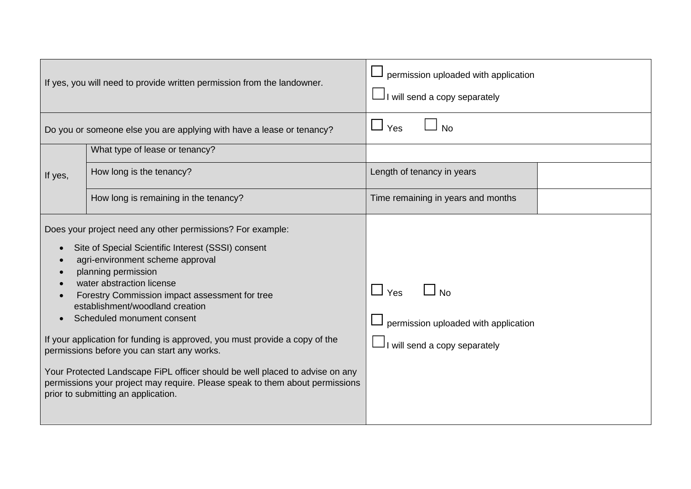| If yes, you will need to provide written permission from the landowner. |                                                                                                                                                                                                                                                                                                                                                                                                                                                                                                                                                                                                                                                                  | permission uploaded with application<br>I will send a copy separately               |  |
|-------------------------------------------------------------------------|------------------------------------------------------------------------------------------------------------------------------------------------------------------------------------------------------------------------------------------------------------------------------------------------------------------------------------------------------------------------------------------------------------------------------------------------------------------------------------------------------------------------------------------------------------------------------------------------------------------------------------------------------------------|-------------------------------------------------------------------------------------|--|
|                                                                         | Do you or someone else you are applying with have a lease or tenancy?                                                                                                                                                                                                                                                                                                                                                                                                                                                                                                                                                                                            | Yes<br><b>No</b>                                                                    |  |
|                                                                         | What type of lease or tenancy?                                                                                                                                                                                                                                                                                                                                                                                                                                                                                                                                                                                                                                   |                                                                                     |  |
| If yes,                                                                 | How long is the tenancy?                                                                                                                                                                                                                                                                                                                                                                                                                                                                                                                                                                                                                                         | Length of tenancy in years                                                          |  |
|                                                                         | How long is remaining in the tenancy?                                                                                                                                                                                                                                                                                                                                                                                                                                                                                                                                                                                                                            | Time remaining in years and months                                                  |  |
|                                                                         | Does your project need any other permissions? For example:<br>Site of Special Scientific Interest (SSSI) consent<br>agri-environment scheme approval<br>planning permission<br>water abstraction license<br>Forestry Commission impact assessment for tree<br>establishment/woodland creation<br>Scheduled monument consent<br>If your application for funding is approved, you must provide a copy of the<br>permissions before you can start any works.<br>Your Protected Landscape FiPL officer should be well placed to advise on any<br>permissions your project may require. Please speak to them about permissions<br>prior to submitting an application. | $\Box$ Yes<br>permission uploaded with application<br>I will send a copy separately |  |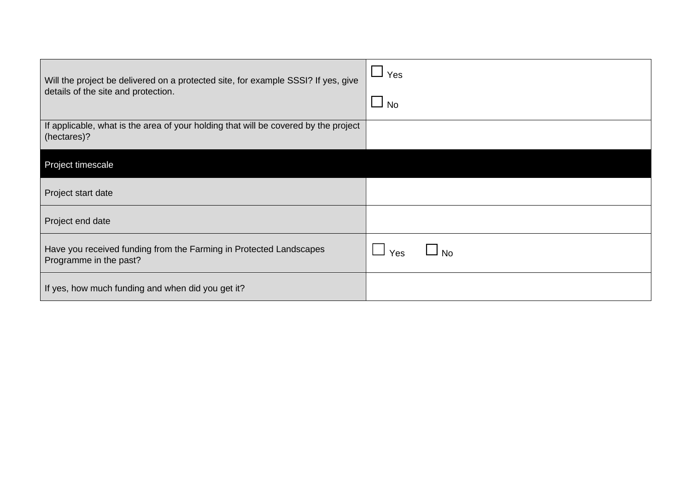| Will the project be delivered on a protected site, for example SSSI? If yes, give<br>details of the site and protection. | $\Box$ Yes<br>$\sqcup$ No |
|--------------------------------------------------------------------------------------------------------------------------|---------------------------|
| If applicable, what is the area of your holding that will be covered by the project<br>(hectares)?                       |                           |
| Project timescale                                                                                                        |                           |
| Project start date                                                                                                       |                           |
| Project end date                                                                                                         |                           |
| Have you received funding from the Farming in Protected Landscapes<br>Programme in the past?                             | $\Box$ No<br>Yes          |
| If yes, how much funding and when did you get it?                                                                        |                           |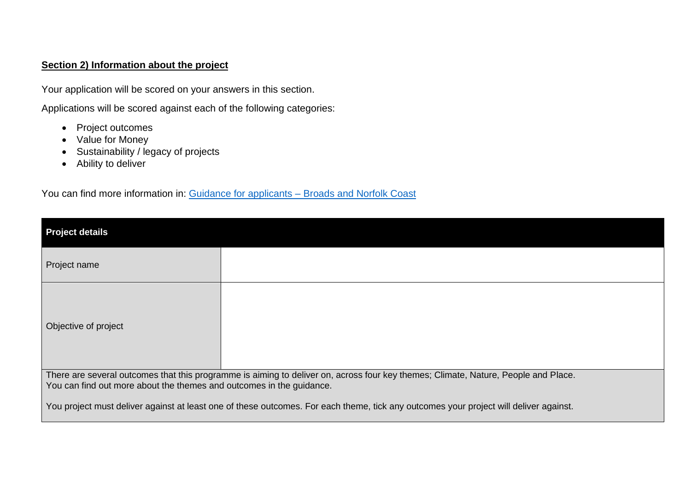## **Section 2) Information about the project**

Your application will be scored on your answers in this section.

Applications will be scored against each of the following categories:

- Project outcomes
- Value for Money
- Sustainability / legacy of projects
- Ability to deliver

You can find more information in: [Guidance for applicants –](https://www.broads-authority.gov.uk/__data/assets/pdf_file/0036/394974/Annex-F-Guidance-for-Applicants-Broads-and-Norfolk-Coast.pdf) Broads and Norfolk Coast

| <b>Project details</b>                                                                                                                                                                                     |  |  |  |
|------------------------------------------------------------------------------------------------------------------------------------------------------------------------------------------------------------|--|--|--|
| Project name                                                                                                                                                                                               |  |  |  |
| Objective of project                                                                                                                                                                                       |  |  |  |
| There are several outcomes that this programme is aiming to deliver on, across four key themes; Climate, Nature, People and Place.<br>You can find out more about the themes and outcomes in the guidance. |  |  |  |
| You project must deliver against at least one of these outcomes. For each theme, tick any outcomes your project will deliver against.                                                                      |  |  |  |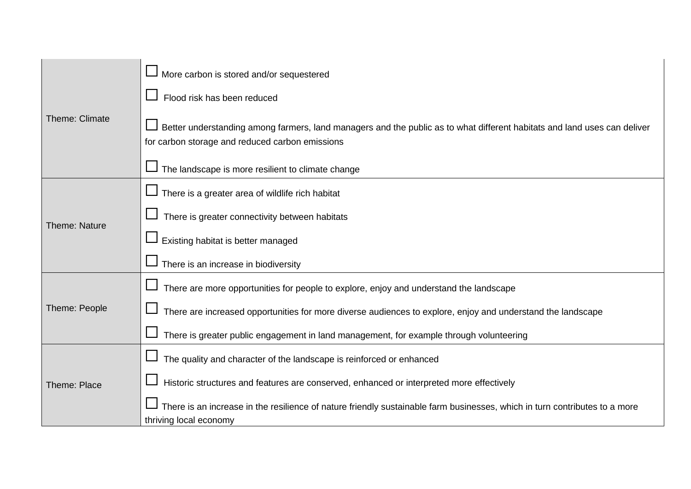|                      | $\Box$ More carbon is stored and/or sequestered                                                                                                                             |
|----------------------|-----------------------------------------------------------------------------------------------------------------------------------------------------------------------------|
| Theme: Climate       | Flood risk has been reduced                                                                                                                                                 |
|                      | Better understanding among farmers, land managers and the public as to what different habitats and land uses can deliver<br>for carbon storage and reduced carbon emissions |
|                      | The landscape is more resilient to climate change                                                                                                                           |
|                      | $\Box$ There is a greater area of wildlife rich habitat                                                                                                                     |
| <b>Theme: Nature</b> | There is greater connectivity between habitats                                                                                                                              |
|                      | Existing habitat is better managed                                                                                                                                          |
|                      | There is an increase in biodiversity                                                                                                                                        |
|                      | There are more opportunities for people to explore, enjoy and understand the landscape                                                                                      |
| Theme: People        | There are increased opportunities for more diverse audiences to explore, enjoy and understand the landscape                                                                 |
|                      | There is greater public engagement in land management, for example through volunteering                                                                                     |
| Theme: Place         | The quality and character of the landscape is reinforced or enhanced                                                                                                        |
|                      | Historic structures and features are conserved, enhanced or interpreted more effectively                                                                                    |
|                      | There is an increase in the resilience of nature friendly sustainable farm businesses, which in turn contributes to a more<br>thriving local economy                        |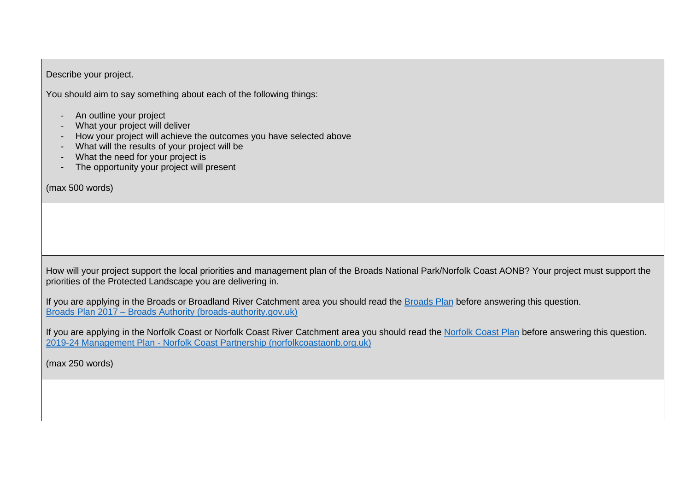Describe your project.

You should aim to say something about each of the following things:

- An outline your project
- What your project will deliver
- How your project will achieve the outcomes you have selected above
- What will the results of your project will be
- What the need for your project is
- The opportunity your project will present

(max 500 words)

How will your project support the local priorities and management plan of the Broads National Park/Norfolk Coast AONB? Your project must support the priorities of the Protected Landscape you are delivering in.

If you are applying in the Broads or Broadland River Catchment area you should read the [Broads Plan](https://www.broads-authority.gov.uk/__data/assets/pdf_file/0023/240665/Broads-Plan-2017.pdf) before answering this question. Broads Plan 2017 – [Broads Authority \(broads-authority.gov.uk\)](https://www.broads-authority.gov.uk/__data/assets/pdf_file/0023/240665/Broads-Plan-2017.pdf)

If you are applying in the Norfolk Coast or Norfolk Coast River Catchment area you should read the [Norfolk Coast Plan](http://www.norfolkcoastaonb.org.uk/partnership/aonb-management-plan/377) before answering this question. 2019-24 Management Plan - [Norfolk Coast Partnership \(norfolkcoastaonb.org.uk\)](http://www.norfolkcoastaonb.org.uk/partnership/aonb-management-plan/377)

(max 250 words)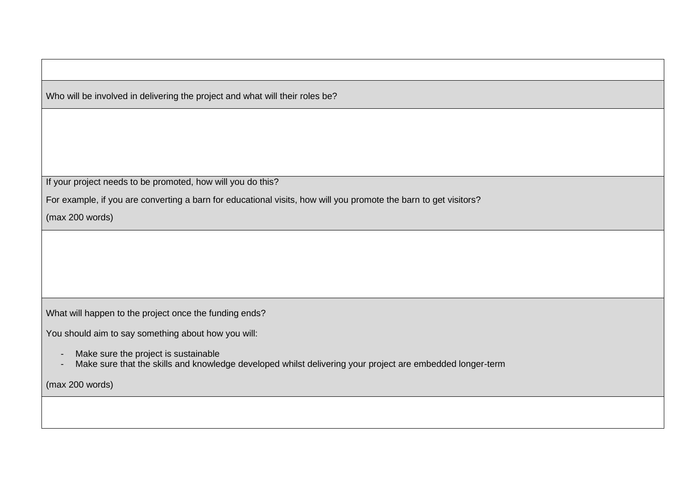Who will be involved in delivering the project and what will their roles be?

If your project needs to be promoted, how will you do this?

For example, if you are converting a barn for educational visits, how will you promote the barn to get visitors?

(max 200 words)

What will happen to the project once the funding ends?

You should aim to say something about how you will:

- Make sure the project is sustainable
- Make sure that the skills and knowledge developed whilst delivering your project are embedded longer-term

(max 200 words)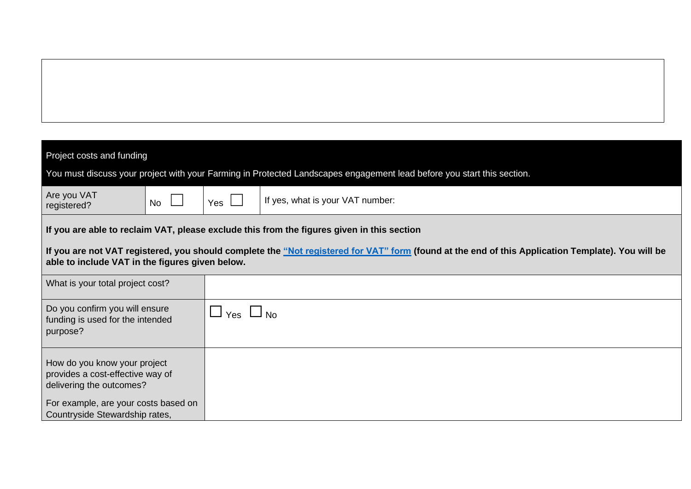| Project costs and funding                                                                                                                                                                                   |                      |                                                                                                                        |  |  |
|-------------------------------------------------------------------------------------------------------------------------------------------------------------------------------------------------------------|----------------------|------------------------------------------------------------------------------------------------------------------------|--|--|
|                                                                                                                                                                                                             |                      | You must discuss your project with your Farming in Protected Landscapes engagement lead before you start this section. |  |  |
| Are you VAT<br><b>No</b><br>registered?                                                                                                                                                                     | Yes                  | If yes, what is your VAT number:                                                                                       |  |  |
|                                                                                                                                                                                                             |                      | If you are able to reclaim VAT, please exclude this from the figures given in this section                             |  |  |
| lf you are not VAT registered, you should complete the <u>"Not registered for VAT" form</u> (found at the end of this Application Template). You will be<br>able to include VAT in the figures given below. |                      |                                                                                                                        |  |  |
| What is your total project cost?                                                                                                                                                                            |                      |                                                                                                                        |  |  |
| Do you confirm you will ensure<br>funding is used for the intended<br>purpose?                                                                                                                              | $\Box$ Yes $\Box$ No |                                                                                                                        |  |  |
| How do you know your project<br>provides a cost-effective way of<br>delivering the outcomes?                                                                                                                |                      |                                                                                                                        |  |  |
| For example, are your costs based on<br>Countryside Stewardship rates,                                                                                                                                      |                      |                                                                                                                        |  |  |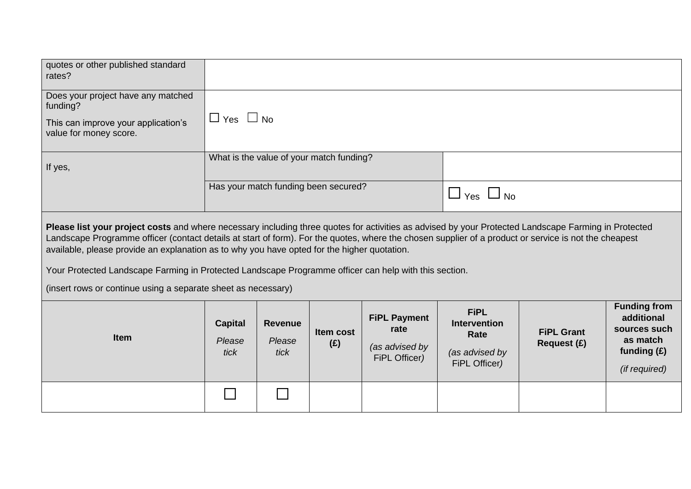| quotes or other published standard<br>rates?                                                                                                                                                                                                                                                                                                                                                                                                                                                                                                                                           |                                          |                                  |                         |                                                                |                                                                               |                                  |                                                                                                 |
|----------------------------------------------------------------------------------------------------------------------------------------------------------------------------------------------------------------------------------------------------------------------------------------------------------------------------------------------------------------------------------------------------------------------------------------------------------------------------------------------------------------------------------------------------------------------------------------|------------------------------------------|----------------------------------|-------------------------|----------------------------------------------------------------|-------------------------------------------------------------------------------|----------------------------------|-------------------------------------------------------------------------------------------------|
| Does your project have any matched<br>funding?<br>This can improve your application's<br>value for money score.                                                                                                                                                                                                                                                                                                                                                                                                                                                                        | $\Box$ Yes $\Box$ No                     |                                  |                         |                                                                |                                                                               |                                  |                                                                                                 |
| If yes,                                                                                                                                                                                                                                                                                                                                                                                                                                                                                                                                                                                | What is the value of your match funding? |                                  |                         |                                                                |                                                                               |                                  |                                                                                                 |
|                                                                                                                                                                                                                                                                                                                                                                                                                                                                                                                                                                                        | Has your match funding been secured?     |                                  |                         | $\Box$ Yes $\Box$ No                                           |                                                                               |                                  |                                                                                                 |
| Please list your project costs and where necessary including three quotes for activities as advised by your Protected Landscape Farming in Protected<br>Landscape Programme officer (contact details at start of form). For the quotes, where the chosen supplier of a product or service is not the cheapest<br>available, please provide an explanation as to why you have opted for the higher quotation.<br>Your Protected Landscape Farming in Protected Landscape Programme officer can help with this section.<br>(insert rows or continue using a separate sheet as necessary) |                                          |                                  |                         |                                                                |                                                                               |                                  |                                                                                                 |
| <b>Item</b>                                                                                                                                                                                                                                                                                                                                                                                                                                                                                                                                                                            | <b>Capital</b><br>Please<br>tick         | <b>Revenue</b><br>Please<br>tick | <b>Item cost</b><br>(E) | <b>FiPL Payment</b><br>rate<br>(as advised by<br>FiPL Officer) | <b>FiPL</b><br><b>Intervention</b><br>Rate<br>(as advised by<br>FiPL Officer) | <b>FiPL Grant</b><br>Request (£) | <b>Funding from</b><br>additional<br>sources such<br>as match<br>funding $(E)$<br>(if required) |
|                                                                                                                                                                                                                                                                                                                                                                                                                                                                                                                                                                                        |                                          |                                  |                         |                                                                |                                                                               |                                  |                                                                                                 |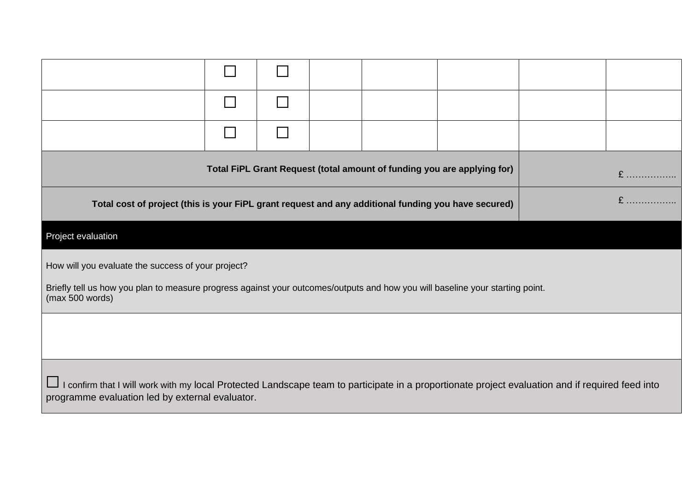| Total FiPL Grant Request (total amount of funding you are applying for)<br>$E$                                                                                                                      |  |  |  |  |  |  |  |
|-----------------------------------------------------------------------------------------------------------------------------------------------------------------------------------------------------|--|--|--|--|--|--|--|
| Total cost of project (this is your FiPL grant request and any additional funding you have secured)                                                                                                 |  |  |  |  |  |  |  |
| Project evaluation                                                                                                                                                                                  |  |  |  |  |  |  |  |
| How will you evaluate the success of your project?                                                                                                                                                  |  |  |  |  |  |  |  |
| Briefly tell us how you plan to measure progress against your outcomes/outputs and how you will baseline your starting point.<br>(max 500 words)                                                    |  |  |  |  |  |  |  |
|                                                                                                                                                                                                     |  |  |  |  |  |  |  |
| I confirm that I will work with my local Protected Landscape team to participate in a proportionate project evaluation and if required feed into<br>programme evaluation led by external evaluator. |  |  |  |  |  |  |  |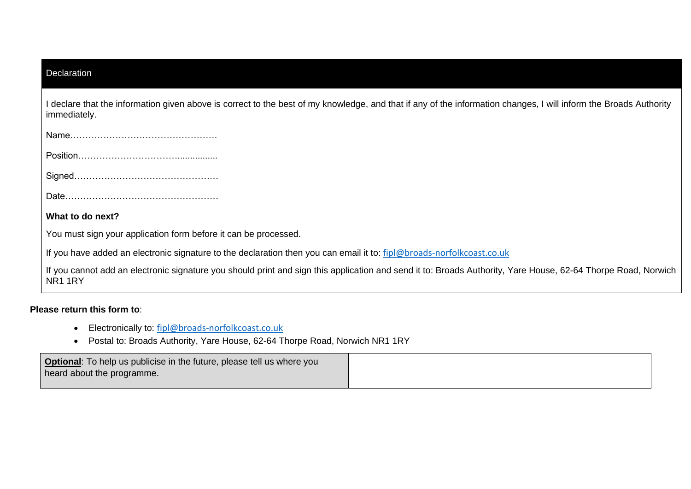| Declaration                                                                                                                                                                          |
|--------------------------------------------------------------------------------------------------------------------------------------------------------------------------------------|
| I declare that the information given above is correct to the best of my knowledge, and that if any of the information changes, I will inform the Broads Authority<br>immediately.    |
|                                                                                                                                                                                      |
|                                                                                                                                                                                      |
|                                                                                                                                                                                      |
|                                                                                                                                                                                      |
| What to do next?                                                                                                                                                                     |
| You must sign your application form before it can be processed.                                                                                                                      |
| If you have added an electronic signature to the declaration then you can email it to: fipl@broads-norfolkcoast.co.uk                                                                |
| If you cannot add an electronic signature you should print and sign this application and send it to: Broads Authority, Yare House, 62-64 Thorpe Road, Norwich<br>NR <sub>1</sub> 1RY |

## **Please return this form to**:

- Electronically to: [fipl@broads-norfolkcoast.co.uk](mailto:fipl@broads-norfolkcoast.co.uk)
- Postal to: Broads Authority, Yare House, 62-64 Thorpe Road, Norwich NR1 1RY

| <b>Optional:</b> To help us publicise in the future, please tell us where you |  |
|-------------------------------------------------------------------------------|--|
| heard about the programme.                                                    |  |
|                                                                               |  |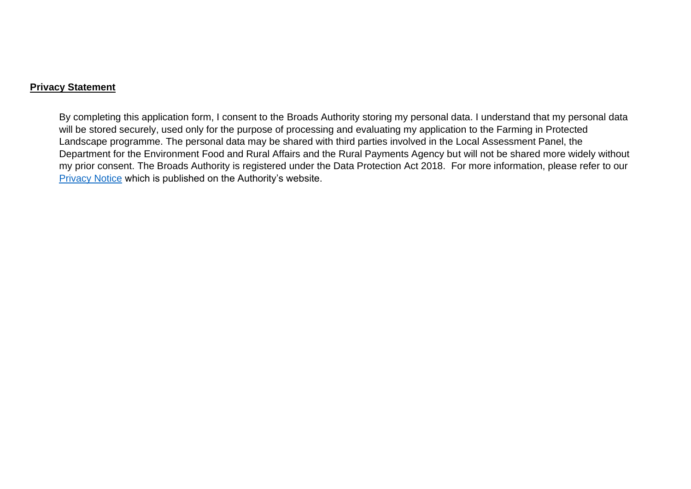#### **Privacy Statement**

By completing this application form, I consent to the Broads Authority storing my personal data. I understand that my personal data will be stored securely, used only for the purpose of processing and evaluating my application to the Farming in Protected Landscape programme. The personal data may be shared with third parties involved in the Local Assessment Panel, the Department for the Environment Food and Rural Affairs and the Rural Payments Agency but will not be shared more widely without my prior consent. The Broads Authority is registered under the Data Protection Act 2018. For more information, please refer to our [Privacy Notice](https://www.broads-authority.gov.uk/__data/assets/pdf_file/0034/394909/FIPL-privacy-policy.pdf) which is published on the Authority's website.